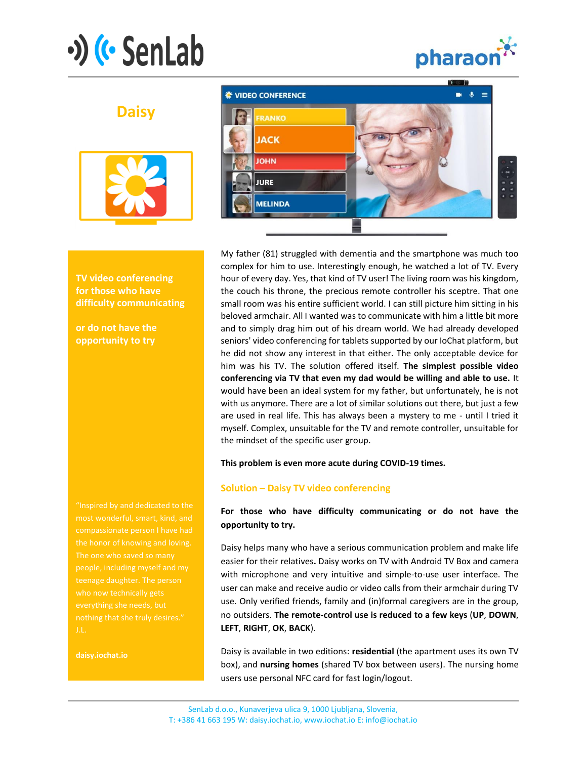# $\cdot$ ) ( $\cdot$  SenLab



# **Daisy**



**TV video conferencing for those who have difficulty communicating**

**or do not have the opportunity to try**

"Inspired by and dedicated to the compassionate person I have had The one who saved so many teenage daughter. The person who now technically gets everything she needs, but

**daisy.iochat.io**



My father (81) struggled with dementia and the smartphone was much too complex for him to use. Interestingly enough, he watched a lot of TV. Every hour of every day. Yes, that kind of TV user! The living room was his kingdom, the couch his throne, the precious remote controller his sceptre. That one small room was his entire sufficient world. I can still picture him sitting in his beloved armchair. All I wanted was to communicate with him a little bit more and to simply drag him out of his dream world. We had already developed seniors' video conferencing for tablets supported by our IoChat platform, but he did not show any interest in that either. The only acceptable device for him was his TV. The solution offered itself. **The simplest possible video conferencing via TV that even my dad would be willing and able to use.** It would have been an ideal system for my father, but unfortunately, he is not with us anymore. There are a lot of similar solutions out there, but just a few are used in real life. This has always been a mystery to me - until I tried it myself. Complex, unsuitable for the TV and remote controller, unsuitable for the mindset of the specific user group.

#### **This problem is even more acute during COVID-19 times.**

### **Solution – Daisy TV video conferencing**

## **For those who have difficulty communicating or do not have the opportunity to try.**

Daisy helps many who have a serious communication problem and make life easier for their relatives**.** Daisy works on TV with Android TV Box and camera with microphone and very intuitive and simple-to-use user interface. The user can make and receive audio or video calls from their armchair during TV use. Only verified friends, family and (in)formal caregivers are in the group, no outsiders. **The remote-control use is reduced to a few keys** (**UP**, **DOWN**, **LEFT**, **RIGHT**, **OK**, **BACK**).

Daisy is available in two editions: **residential** (the apartment uses its own TV box), and **nursing homes** (shared TV box between users). The nursing home users use personal NFC card for fast login/logout.